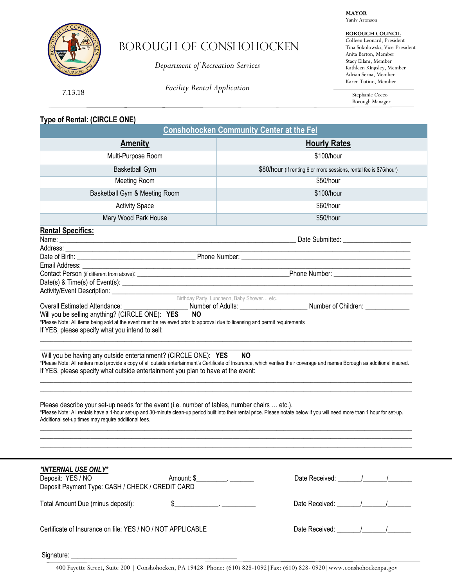**MAYOR** Yaniv Aronson



# Borough OF conshohocken

*Department of Recreation Services*

**BOROUGH COUNCIL**

Colleen Leonard, President Tina Sokolowski, Vice-President Anita Barton, Member Stacy Ellam, Member Kathleen Kingsley, Member Adrian Serna, Member Karen Tutino, Member

7.13.18

*Facility Rental Application*

Stephanie Cecco Borough Manager

# **Type of Rental: (CIRCLE ONE)**

| <b>Conshohocken Community Center at the Fel</b>                                                                                                                                                                                                                                                                                                   |                                                                    |  |
|---------------------------------------------------------------------------------------------------------------------------------------------------------------------------------------------------------------------------------------------------------------------------------------------------------------------------------------------------|--------------------------------------------------------------------|--|
| <b>Amenity</b>                                                                                                                                                                                                                                                                                                                                    | <b>Hourly Rates</b>                                                |  |
| Multi-Purpose Room                                                                                                                                                                                                                                                                                                                                | \$100/hour                                                         |  |
| <b>Basketball Gym</b>                                                                                                                                                                                                                                                                                                                             | \$80/hour (If renting 6 or more sessions, rental fee is \$75/hour) |  |
| Meeting Room                                                                                                                                                                                                                                                                                                                                      | \$50/hour                                                          |  |
| Basketball Gym & Meeting Room                                                                                                                                                                                                                                                                                                                     | \$100/hour                                                         |  |
| <b>Activity Space</b>                                                                                                                                                                                                                                                                                                                             | \$60/hour                                                          |  |
| Mary Wood Park House                                                                                                                                                                                                                                                                                                                              | \$50/hour                                                          |  |
| <b>Rental Specifics:</b><br>Name: <u>experimental and a series of the series of the series of the series of the series of the series of the series of the series of the series of the series of the series of the series of the series of the series of the </u>                                                                                  |                                                                    |  |
|                                                                                                                                                                                                                                                                                                                                                   |                                                                    |  |
|                                                                                                                                                                                                                                                                                                                                                   |                                                                    |  |
| Birthday Party, Luncheon, Baby Shower etc.<br>Will you be selling anything? (CIRCLE ONE): YES<br><b>NO</b><br>*Please Note: All items being sold at the event must be reviewed prior to approval due to licensing and permit requirements<br>If YES, please specify what you intend to sell:                                                      |                                                                    |  |
| Will you be having any outside entertainment? (CIRCLE ONE): YES<br><b>NO</b><br>*Please Note: All renters must provide a copy of all outside entertainment's Certificate of Insurance, which verifies their coverage and names Borough as additional insured.<br>If YES, please specify what outside entertainment you plan to have at the event: |                                                                    |  |
| Please describe your set-up needs for the event (i.e. number of tables, number chairs  etc.).<br>*Please Note: All rentals have a 1-hour set-up and 30-minute clean-up period built into their rental price. Please notate below if you will need more than 1 hour for set-up.<br>Additional set-up times may require additional fees.            |                                                                    |  |
| *INTERNAL USE ONLY*<br>Deposit: YES / NO<br>Amount: \$<br>Deposit Payment Type: CASH / CHECK / CREDIT CARD                                                                                                                                                                                                                                        | Date Received: 1 / /                                               |  |
| Total Amount Due (minus deposit):<br>\$                                                                                                                                                                                                                                                                                                           |                                                                    |  |
| Certificate of Insurance on file: YES / NO / NOT APPLICABLE                                                                                                                                                                                                                                                                                       |                                                                    |  |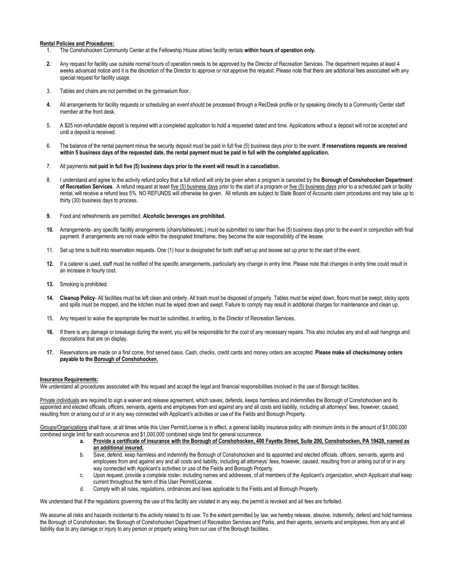### **Rental Policies and Procedures:**

- 1. The Conshohocken Community Center at the Fellowship House allows facility rentals **within hours of operation only.**
- **2.** Any request for facility use outside normal hours of operation needs to be approved by the Director of Recreation Services. The department requires at least 4 weeks advanced notice and it is the discretion of the Director to approve or not approve the request. Please note that there are additional fees associated with any special request for facility usage.
- 3. Tables and chairs are not permitted on the gymnasium floor.
- **4.** All arrangements for facility requests or scheduling an event should be processed through a RecDesk profile or by speaking directly to a Community Center staff member at the front desk.
- 5. A \$25 non-refundable deposit is required with a completed application to hold a requested dated and time. Applications without a deposit will not be accepted and until a deposit is received.
- 6. The balance of the rental payment minus the security deposit must be paid in full five (5) business days prior to the event. **If reservations requests are received within 5 business days of the requested date, the rental payment must be paid in full with the completed application.**
- 7. All payments **not paid in full five (5) business days prior to the event will result in a cancellation.**
- 8. I understand and agree to the activity refund policy that a full refund will only be given when a program is canceled by the **Borough of Conshohocken Department**  of Recreation Services. A refund request at least <u>five (5) business days</u> prior to the start of a program or five (5) business days prior to a scheduled park or facility rental, will receive a refund less 5%. NO REFUNDS will otherwise be given. All refunds are subject to State Board of Accounts claim procedures and may take up to thirty (30) business days to process.
- **9.** Food and refreshments are permitted. **Alcoholic beverages are prohibited.**
- **10.** Arrangements- any specific facility arrangements (chairs/tables/etc.) must be submitted no later than five (5) business days prior to the event in conjunction with final payment. If arrangements are not made within the designated timeframe, they become the sole responsibility of the lessee.
- 11. Set up time is built into reservation requests. One (1) hour is designated for both staff set up and lessee set up prior to the start of the event.
- **12.** If a caterer is used, staff must be notified of the specific arrangements, particularly any change in entry time. Please note that changes in entry time could result in an increase in hourly cost.
- **13.** Smoking is prohibited.
- **14. Cleanup Policy** All facilities must be left clean and orderly. All trash must be disposed of properly. Tables must be wiped down, floors must be swept, sticky spots and spills must be mopped, and the kitchen must be wiped down and swept. Failure to comply may result in additional charges for maintenance and clean up.
- 15. Any request to waive the appropriate fee must be submitted, in writing, to the Director of Recreation Services.
- **16.** If there is any damage or breakage during the event, you will be responsible for the cost of any necessary repairs. This also includes any and all wall hangings and decorations that are on display.
- **17.** Reservations are made on a first come, first served basis. Cash, checks, credit cards and money orders are accepted. **Please make all checks/money orders payable to the Borough of Conshohocken.**

### **Insurance Requirements:**

We understand all procedures associated with this request and accept the legal and financial responsibilities involved in the use of Borough facilities.

Private individuals are required to sign a waiver and release agreement, which saves, defends, keeps harmless and indemnifies the Borough of Conshohocken and its appointed and elected officials, officers, servants, agents and employees from and against any and all costs and liability, including all attorneys' fees, however, caused, resulting from or arising out of or in any way connected with Applicant's activities or use of the Fields and Borough Property.

Groups/Organizations shall have, at all times while this User Permit/License is in effect, a general liability insurance policy with minimum limits in the amount of \$1,000,000 combined single limit for each occurrence and \$1,000,000 combined single limit for general occurrence.

- **a. Provide a certificate of insurance with the Borough of Conshohocken, 400 Fayette Street, Suite 200, Conshohocken, PA 19428, named as an additional insured.**
- b. Save, defend, keep harmless and indemnify the Borough of Conshohocken and its appointed and elected officials, officers, servants, agents and employees from and against any and all costs and liability, including all attorneys' fees, however, caused, resulting from or arising out of or in any way connected with Applicant's activities or use of the Fields and Borough Property.
- c. Upon request, provide a complete roster, including names and addresses, of all members of the Applicant's organization, which Applicant shall keep current throughout the term of this User Permit/License.
- d. Comply with all rules, regulations, ordinances and laws applicable to the Fields and all Borough Property.

We understand that if the regulations governing the use of this facility are violated in any way, the permit is revoked and all fees are forfeited.

We assume all risks and hazards incidental to the activity related to its use. To the extent permitted by law, we hereby release, absolve, indemnify, defend and hold harmless the Borough of Conshohocken, the Borough of Conshohocken Department of Recreation Services and Parks, and their agents, servants and employees, from any and all liability due to any damage or injury to any person or property arising from our use of the Borough facilities.